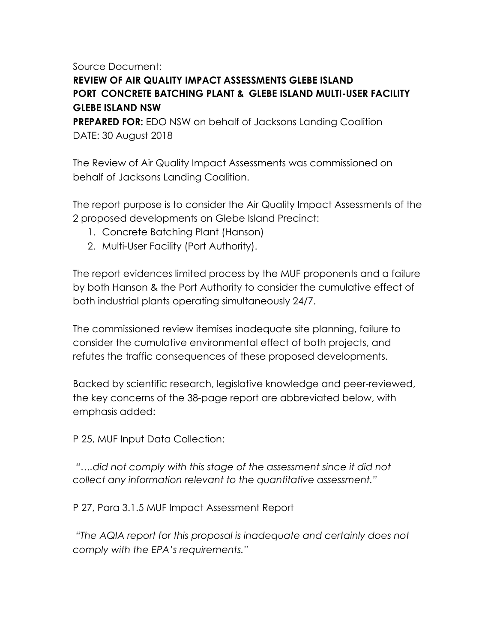Source Document:

## **REVIEW OF AIR QUALITY IMPACT ASSESSMENTS GLEBE ISLAND PORT CONCRETE BATCHING PLANT & GLEBE ISLAND MULTI-USER FACILITY GLEBE ISLAND NSW**

**PREPARED FOR:** EDO NSW on behalf of Jacksons Landing Coalition DATE: 30 August 2018

The Review of Air Quality Impact Assessments was commissioned on behalf of Jacksons Landing Coalition.

The report purpose is to consider the Air Quality Impact Assessments of the 2 proposed developments on Glebe Island Precinct:

- 1. Concrete Batching Plant (Hanson)
- 2. Multi-User Facility (Port Authority).

The report evidences limited process by the MUF proponents and a failure by both Hanson & the Port Authority to consider the cumulative effect of both industrial plants operating simultaneously 24/7.

The commissioned review itemises inadequate site planning, failure to consider the cumulative environmental effect of both projects, and refutes the traffic consequences of these proposed developments.

Backed by scientific research, legislative knowledge and peer-reviewed, the key concerns of the 38-page report are abbreviated below, with emphasis added:

P 25, MUF Input Data Collection:

*"….did not comply with this stage of the assessment since it did not collect any information relevant to the quantitative assessment."*

P 27, Para 3.1.5 MUF Impact Assessment Report

*"The AQIA report for this proposal is inadequate and certainly does not comply with the EPA's requirements."*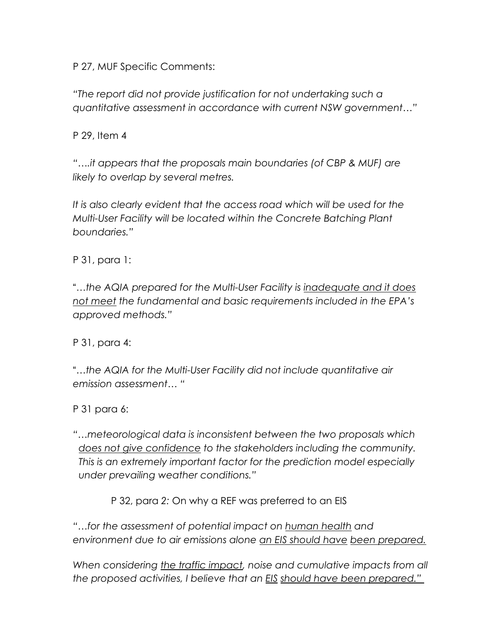P 27, MUF Specific Comments:

*"The report did not provide justification for not undertaking such a quantitative assessment in accordance with current NSW government…"* 

P 29, Item 4

*"….it appears that the proposals main boundaries (of CBP & MUF) are likely to overlap by several metres.*

*It is also clearly evident that the access road which will be used for the Multi-User Facility will be located within the Concrete Batching Plant boundaries."*

P 31, para 1:

"…*the AQIA prepared for the Multi-User Facility is inadequate and it does not meet the fundamental and basic requirements included in the EPA's approved methods."*

P 31, para 4:

"*…the AQIA for the Multi-User Facility did not include quantitative air emission assessment… "*

P 31 para 6:

*"…meteorological data is inconsistent between the two proposals which does not give confidence to the stakeholders including the community. This is an extremely important factor for the prediction model especially under prevailing weather conditions."*

P 32, para *2:* On why a REF was preferred to an EIS

*"…for the assessment of potential impact on human health and environment due to air emissions alone an EIS should have been prepared.*

*When considering the traffic impact, noise and cumulative impacts from all the proposed activities, I believe that an EIS should have been prepared."*